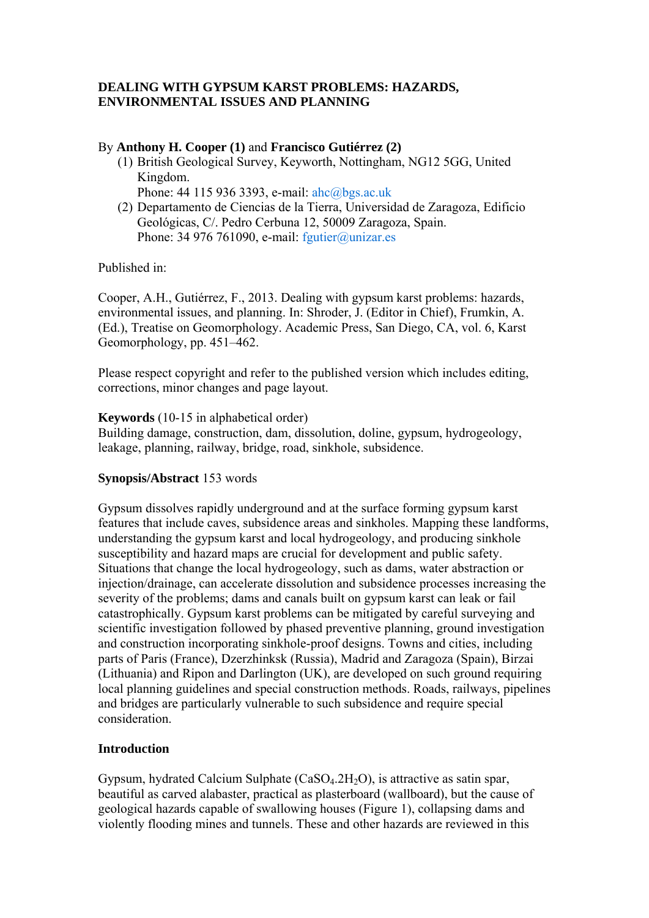# **DEALING WITH GYPSUM KARST PROBLEMS: HAZARDS, ENVIRONMENTAL ISSUES AND PLANNING**

### By **Anthony H. Cooper (1)** and **Francisco Gutiérrez (2)**

- (1) British Geological Survey, Keyworth, Nottingham, NG12 5GG, United Kingdom.
	- Phone: 44 115 936 3393, e-mail: ahc@bgs.ac.uk
- (2) Departamento de Ciencias de la Tierra, Universidad de Zaragoza, Edificio Geológicas, C/. Pedro Cerbuna 12, 50009 Zaragoza, Spain. Phone: 34 976 761090, e-mail:  $f$ gutier $\omega$ unizar.es

Published in:

Cooper, A.H., Gutiérrez, F., 2013. Dealing with gypsum karst problems: hazards, environmental issues, and planning. In: Shroder, J. (Editor in Chief), Frumkin, A. (Ed.), Treatise on Geomorphology. Academic Press, San Diego, CA, vol. 6, Karst Geomorphology, pp. 451–462.

Please respect copyright and refer to the published version which includes editing, corrections, minor changes and page layout.

**Keywords** (10-15 in alphabetical order)

Building damage, construction, dam, dissolution, doline, gypsum, hydrogeology, leakage, planning, railway, bridge, road, sinkhole, subsidence.

### **Synopsis/Abstract** 153 words

Gypsum dissolves rapidly underground and at the surface forming gypsum karst features that include caves, subsidence areas and sinkholes. Mapping these landforms, understanding the gypsum karst and local hydrogeology, and producing sinkhole susceptibility and hazard maps are crucial for development and public safety. Situations that change the local hydrogeology, such as dams, water abstraction or injection/drainage, can accelerate dissolution and subsidence processes increasing the severity of the problems; dams and canals built on gypsum karst can leak or fail catastrophically. Gypsum karst problems can be mitigated by careful surveying and scientific investigation followed by phased preventive planning, ground investigation and construction incorporating sinkhole-proof designs. Towns and cities, including parts of Paris (France), Dzerzhinksk (Russia), Madrid and Zaragoza (Spain), Birzai (Lithuania) and Ripon and Darlington (UK), are developed on such ground requiring local planning guidelines and special construction methods. Roads, railways, pipelines and bridges are particularly vulnerable to such subsidence and require special consideration.

# **Introduction**

Gypsum, hydrated Calcium Sulphate  $(CaSO<sub>4</sub>.2H<sub>2</sub>O)$ , is attractive as satin spar, beautiful as carved alabaster, practical as plasterboard (wallboard), but the cause of geological hazards capable of swallowing houses (Figure 1), collapsing dams and violently flooding mines and tunnels. These and other hazards are reviewed in this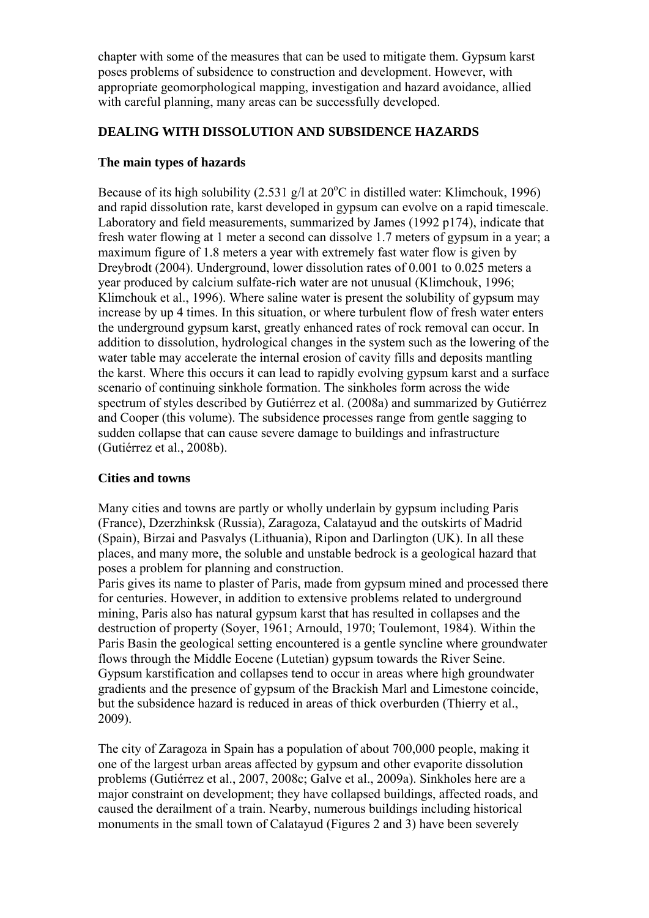chapter with some of the measures that can be used to mitigate them. Gypsum karst poses problems of subsidence to construction and development. However, with appropriate geomorphological mapping, investigation and hazard avoidance, allied with careful planning, many areas can be successfully developed.

### **DEALING WITH DISSOLUTION AND SUBSIDENCE HAZARDS**

### **The main types of hazards**

Because of its high solubility  $(2.531 \text{ g/l at } 20^{\circ}\text{C}$  in distilled water: Klimchouk, 1996) and rapid dissolution rate, karst developed in gypsum can evolve on a rapid timescale. Laboratory and field measurements, summarized by James (1992 p174), indicate that fresh water flowing at 1 meter a second can dissolve 1.7 meters of gypsum in a year; a maximum figure of 1.8 meters a year with extremely fast water flow is given by Dreybrodt (2004). Underground, lower dissolution rates of 0.001 to 0.025 meters a year produced by calcium sulfate-rich water are not unusual (Klimchouk, 1996; Klimchouk et al., 1996). Where saline water is present the solubility of gypsum may increase by up 4 times. In this situation, or where turbulent flow of fresh water enters the underground gypsum karst, greatly enhanced rates of rock removal can occur. In addition to dissolution, hydrological changes in the system such as the lowering of the water table may accelerate the internal erosion of cavity fills and deposits mantling the karst. Where this occurs it can lead to rapidly evolving gypsum karst and a surface scenario of continuing sinkhole formation. The sinkholes form across the wide spectrum of styles described by Gutiérrez et al. (2008a) and summarized by Gutiérrez and Cooper (this volume). The subsidence processes range from gentle sagging to sudden collapse that can cause severe damage to buildings and infrastructure (Gutiérrez et al., 2008b).

# **Cities and towns**

Many cities and towns are partly or wholly underlain by gypsum including Paris (France), Dzerzhinksk (Russia), Zaragoza, Calatayud and the outskirts of Madrid (Spain), Birzai and Pasvalys (Lithuania), Ripon and Darlington (UK). In all these places, and many more, the soluble and unstable bedrock is a geological hazard that poses a problem for planning and construction.

Paris gives its name to plaster of Paris, made from gypsum mined and processed there for centuries. However, in addition to extensive problems related to underground mining, Paris also has natural gypsum karst that has resulted in collapses and the destruction of property (Soyer, 1961; Arnould, 1970; Toulemont, 1984). Within the Paris Basin the geological setting encountered is a gentle syncline where groundwater flows through the Middle Eocene (Lutetian) gypsum towards the River Seine. Gypsum karstification and collapses tend to occur in areas where high groundwater gradients and the presence of gypsum of the Brackish Marl and Limestone coincide, but the subsidence hazard is reduced in areas of thick overburden (Thierry et al., 2009).

The city of Zaragoza in Spain has a population of about 700,000 people, making it one of the largest urban areas affected by gypsum and other evaporite dissolution problems (Gutiérrez et al., 2007, 2008c; Galve et al., 2009a). Sinkholes here are a major constraint on development; they have collapsed buildings, affected roads, and caused the derailment of a train. Nearby, numerous buildings including historical monuments in the small town of Calatayud (Figures 2 and 3) have been severely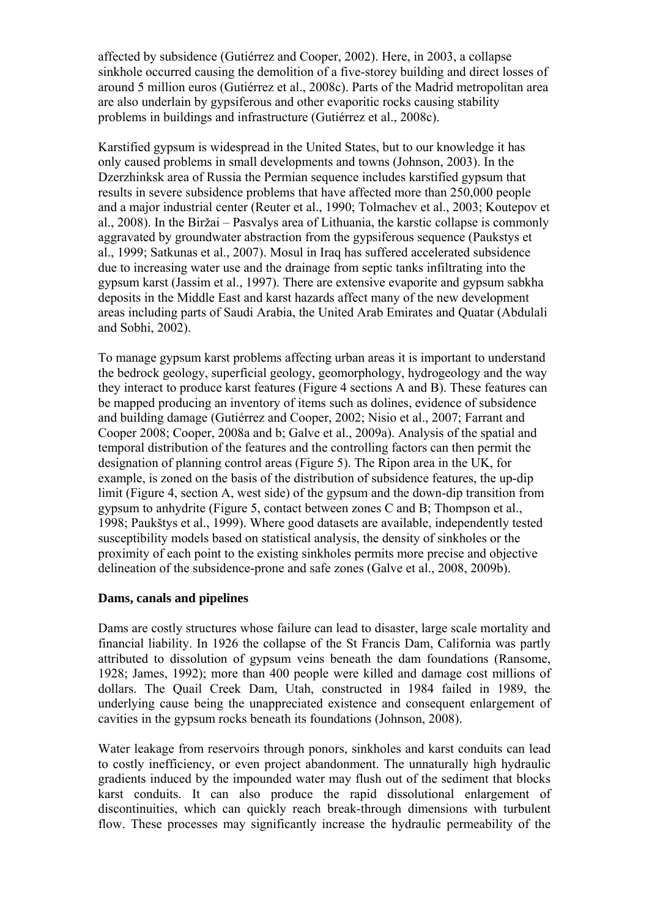affected by subsidence (Gutiérrez and Cooper, 2002). Here, in 2003, a collapse sinkhole occurred causing the demolition of a five-storey building and direct losses of around 5 million euros (Gutiérrez et al., 2008c). Parts of the Madrid metropolitan area are also underlain by gypsiferous and other evaporitic rocks causing stability problems in buildings and infrastructure (Gutiérrez et al., 2008c).

Karstified gypsum is widespread in the United States, but to our knowledge it has only caused problems in small developments and towns (Johnson, 2003). In the Dzerzhinksk area of Russia the Permian sequence includes karstified gypsum that results in severe subsidence problems that have affected more than 250,000 people and a major industrial center (Reuter et al., 1990; Tolmachev et al., 2003; Koutepov et al., 2008). In the Biržai – Pasvalys area of Lithuania, the karstic collapse is commonly aggravated by groundwater abstraction from the gypsiferous sequence (Paukstys et al., 1999; Satkunas et al., 2007). Mosul in Iraq has suffered accelerated subsidence due to increasing water use and the drainage from septic tanks infiltrating into the gypsum karst (Jassim et al., 1997). There are extensive evaporite and gypsum sabkha deposits in the Middle East and karst hazards affect many of the new development areas including parts of Saudi Arabia, the United Arab Emirates and Quatar (Abdulali and Sobhi, 2002).

To manage gypsum karst problems affecting urban areas it is important to understand the bedrock geology, superficial geology, geomorphology, hydrogeology and the way they interact to produce karst features (Figure 4 sections A and B). These features can be mapped producing an inventory of items such as dolines, evidence of subsidence and building damage (Gutiérrez and Cooper, 2002; Nisio et al., 2007; Farrant and Cooper 2008; Cooper, 2008a and b; Galve et al., 2009a). Analysis of the spatial and temporal distribution of the features and the controlling factors can then permit the designation of planning control areas (Figure 5). The Ripon area in the UK, for example, is zoned on the basis of the distribution of subsidence features, the up-dip limit (Figure 4, section A, west side) of the gypsum and the down-dip transition from gypsum to anhydrite (Figure 5, contact between zones C and B; Thompson et al., 1998; Paukštys et al., 1999). Where good datasets are available, independently tested susceptibility models based on statistical analysis, the density of sinkholes or the proximity of each point to the existing sinkholes permits more precise and objective delineation of the subsidence-prone and safe zones (Galve et al., 2008, 2009b).

# **Dams, canals and pipelines**

Dams are costly structures whose failure can lead to disaster, large scale mortality and financial liability. In 1926 the collapse of the St Francis Dam, California was partly attributed to dissolution of gypsum veins beneath the dam foundations (Ransome, 1928; James, 1992); more than 400 people were killed and damage cost millions of dollars. The Quail Creek Dam, Utah, constructed in 1984 failed in 1989, the underlying cause being the unappreciated existence and consequent enlargement of cavities in the gypsum rocks beneath its foundations (Johnson, 2008).

Water leakage from reservoirs through ponors, sinkholes and karst conduits can lead to costly inefficiency, or even project abandonment. The unnaturally high hydraulic gradients induced by the impounded water may flush out of the sediment that blocks karst conduits. It can also produce the rapid dissolutional enlargement of discontinuities, which can quickly reach break-through dimensions with turbulent flow. These processes may significantly increase the hydraulic permeability of the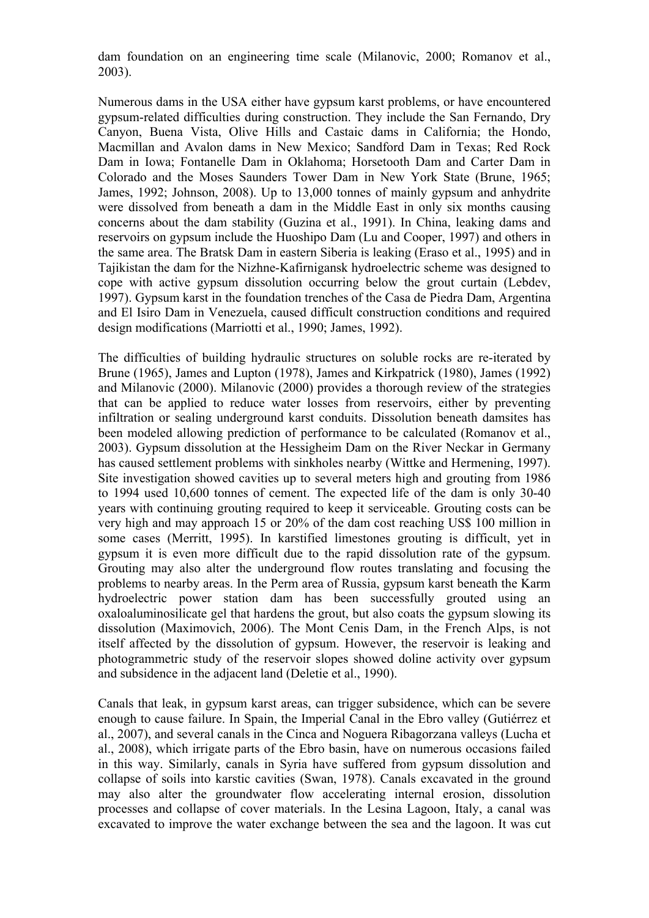dam foundation on an engineering time scale (Milanovic, 2000; Romanov et al., 2003).

Numerous dams in the USA either have gypsum karst problems, or have encountered gypsum-related difficulties during construction. They include the San Fernando, Dry Canyon, Buena Vista, Olive Hills and Castaic dams in California; the Hondo, Macmillan and Avalon dams in New Mexico; Sandford Dam in Texas; Red Rock Dam in Iowa; Fontanelle Dam in Oklahoma; Horsetooth Dam and Carter Dam in Colorado and the Moses Saunders Tower Dam in New York State (Brune, 1965; James, 1992; Johnson, 2008). Up to 13,000 tonnes of mainly gypsum and anhydrite were dissolved from beneath a dam in the Middle East in only six months causing concerns about the dam stability (Guzina et al., 1991). In China, leaking dams and reservoirs on gypsum include the Huoshipo Dam (Lu and Cooper, 1997) and others in the same area. The Bratsk Dam in eastern Siberia is leaking (Eraso et al., 1995) and in Tajikistan the dam for the Nizhne-Kafirnigansk hydroelectric scheme was designed to cope with active gypsum dissolution occurring below the grout curtain (Lebdev, 1997). Gypsum karst in the foundation trenches of the Casa de Piedra Dam, Argentina and El Isiro Dam in Venezuela, caused difficult construction conditions and required design modifications (Marriotti et al., 1990; James, 1992).

The difficulties of building hydraulic structures on soluble rocks are re-iterated by Brune (1965), James and Lupton (1978), James and Kirkpatrick (1980), James (1992) and Milanovic (2000). Milanovic (2000) provides a thorough review of the strategies that can be applied to reduce water losses from reservoirs, either by preventing infiltration or sealing underground karst conduits. Dissolution beneath damsites has been modeled allowing prediction of performance to be calculated (Romanov et al., 2003). Gypsum dissolution at the Hessigheim Dam on the River Neckar in Germany has caused settlement problems with sinkholes nearby (Wittke and Hermening, 1997). Site investigation showed cavities up to several meters high and grouting from 1986 to 1994 used 10,600 tonnes of cement. The expected life of the dam is only 30-40 years with continuing grouting required to keep it serviceable. Grouting costs can be very high and may approach 15 or 20% of the dam cost reaching US\$ 100 million in some cases (Merritt, 1995). In karstified limestones grouting is difficult, yet in gypsum it is even more difficult due to the rapid dissolution rate of the gypsum. Grouting may also alter the underground flow routes translating and focusing the problems to nearby areas. In the Perm area of Russia, gypsum karst beneath the Karm hydroelectric power station dam has been successfully grouted using an oxaloaluminosilicate gel that hardens the grout, but also coats the gypsum slowing its dissolution (Maximovich, 2006). The Mont Cenis Dam, in the French Alps, is not itself affected by the dissolution of gypsum. However, the reservoir is leaking and photogrammetric study of the reservoir slopes showed doline activity over gypsum and subsidence in the adjacent land (Deletie et al., 1990).

Canals that leak, in gypsum karst areas, can trigger subsidence, which can be severe enough to cause failure. In Spain, the Imperial Canal in the Ebro valley (Gutiérrez et al., 2007), and several canals in the Cinca and Noguera Ribagorzana valleys (Lucha et al., 2008), which irrigate parts of the Ebro basin, have on numerous occasions failed in this way. Similarly, canals in Syria have suffered from gypsum dissolution and collapse of soils into karstic cavities (Swan, 1978). Canals excavated in the ground may also alter the groundwater flow accelerating internal erosion, dissolution processes and collapse of cover materials. In the Lesina Lagoon, Italy, a canal was excavated to improve the water exchange between the sea and the lagoon. It was cut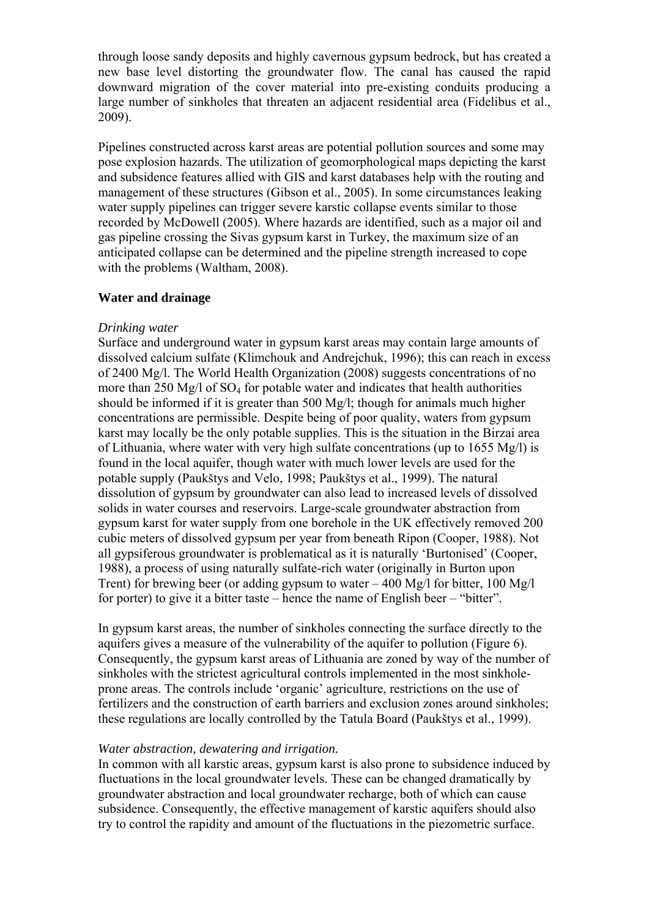through loose sandy deposits and highly cavernous gypsum bedrock, but has created a new base level distorting the groundwater flow. The canal has caused the rapid downward migration of the cover material into pre-existing conduits producing a large number of sinkholes that threaten an adjacent residential area (Fidelibus et al., 2009).

Pipelines constructed across karst areas are potential pollution sources and some may pose explosion hazards. The utilization of geomorphological maps depicting the karst and subsidence features allied with GIS and karst databases help with the routing and management of these structures (Gibson et al., 2005). In some circumstances leaking water supply pipelines can trigger severe karstic collapse events similar to those recorded by McDowell (2005). Where hazards are identified, such as a major oil and gas pipeline crossing the Sivas gypsum karst in Turkey, the maximum size of an anticipated collapse can be determined and the pipeline strength increased to cope with the problems (Waltham, 2008).

#### **Water and drainage**

#### *Drinking water*

Surface and underground water in gypsum karst areas may contain large amounts of dissolved calcium sulfate (Klimchouk and Andrejchuk, 1996); this can reach in excess of 2400 Mg/l. The World Health Organization (2008) suggests concentrations of no more than  $250$  Mg/l of  $SO_4$  for potable water and indicates that health authorities should be informed if it is greater than 500 Mg/l; though for animals much higher concentrations are permissible. Despite being of poor quality, waters from gypsum karst may locally be the only potable supplies. This is the situation in the Birzai area of Lithuania, where water with very high sulfate concentrations (up to 1655 Mg/l) is found in the local aquifer, though water with much lower levels are used for the potable supply (Paukštys and Velo, 1998; Paukštys et al., 1999). The natural dissolution of gypsum by groundwater can also lead to increased levels of dissolved solids in water courses and reservoirs. Large-scale groundwater abstraction from gypsum karst for water supply from one borehole in the UK effectively removed 200 cubic meters of dissolved gypsum per year from beneath Ripon (Cooper, 1988). Not all gypsiferous groundwater is problematical as it is naturally 'Burtonised' (Cooper, 1988), a process of using naturally sulfate-rich water (originally in Burton upon Trent) for brewing beer (or adding gypsum to water – 400 Mg/l for bitter, 100 Mg/l for porter) to give it a bitter taste – hence the name of English beer – "bitter".

In gypsum karst areas, the number of sinkholes connecting the surface directly to the aquifers gives a measure of the vulnerability of the aquifer to pollution (Figure 6). Consequently, the gypsum karst areas of Lithuania are zoned by way of the number of sinkholes with the strictest agricultural controls implemented in the most sinkholeprone areas. The controls include 'organic' agriculture, restrictions on the use of fertilizers and the construction of earth barriers and exclusion zones around sinkholes; these regulations are locally controlled by the Tatula Board (Paukštys et al., 1999).

#### *Water abstraction, dewatering and irrigation.*

In common with all karstic areas, gypsum karst is also prone to subsidence induced by fluctuations in the local groundwater levels. These can be changed dramatically by groundwater abstraction and local groundwater recharge, both of which can cause subsidence. Consequently, the effective management of karstic aquifers should also try to control the rapidity and amount of the fluctuations in the piezometric surface.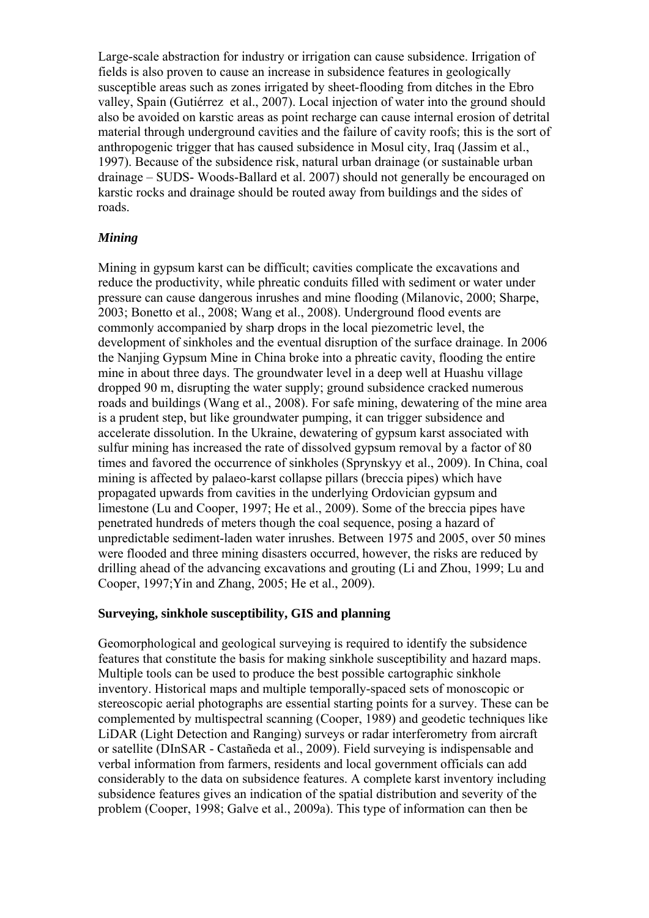Large-scale abstraction for industry or irrigation can cause subsidence. Irrigation of fields is also proven to cause an increase in subsidence features in geologically susceptible areas such as zones irrigated by sheet-flooding from ditches in the Ebro valley, Spain (Gutiérrez et al., 2007). Local injection of water into the ground should also be avoided on karstic areas as point recharge can cause internal erosion of detrital material through underground cavities and the failure of cavity roofs; this is the sort of anthropogenic trigger that has caused subsidence in Mosul city, Iraq (Jassim et al., 1997). Because of the subsidence risk, natural urban drainage (or sustainable urban drainage – SUDS- Woods-Ballard et al. 2007) should not generally be encouraged on karstic rocks and drainage should be routed away from buildings and the sides of roads.

### *Mining*

Mining in gypsum karst can be difficult; cavities complicate the excavations and reduce the productivity, while phreatic conduits filled with sediment or water under pressure can cause dangerous inrushes and mine flooding (Milanovic, 2000; Sharpe, 2003; Bonetto et al., 2008; Wang et al., 2008). Underground flood events are commonly accompanied by sharp drops in the local piezometric level, the development of sinkholes and the eventual disruption of the surface drainage. In 2006 the Nanjing Gypsum Mine in China broke into a phreatic cavity, flooding the entire mine in about three days. The groundwater level in a deep well at Huashu village dropped 90 m, disrupting the water supply; ground subsidence cracked numerous roads and buildings (Wang et al., 2008). For safe mining, dewatering of the mine area is a prudent step, but like groundwater pumping, it can trigger subsidence and accelerate dissolution. In the Ukraine, dewatering of gypsum karst associated with sulfur mining has increased the rate of dissolved gypsum removal by a factor of 80 times and favored the occurrence of sinkholes (Sprynskyy et al., 2009). In China, coal mining is affected by palaeo-karst collapse pillars (breccia pipes) which have propagated upwards from cavities in the underlying Ordovician gypsum and limestone (Lu and Cooper, 1997; He et al., 2009). Some of the breccia pipes have penetrated hundreds of meters though the coal sequence, posing a hazard of unpredictable sediment-laden water inrushes. Between 1975 and 2005, over 50 mines were flooded and three mining disasters occurred, however, the risks are reduced by drilling ahead of the advancing excavations and grouting (Li and Zhou, 1999; Lu and Cooper, 1997;Yin and Zhang, 2005; He et al., 2009).

### **Surveying, sinkhole susceptibility, GIS and planning**

Geomorphological and geological surveying is required to identify the subsidence features that constitute the basis for making sinkhole susceptibility and hazard maps. Multiple tools can be used to produce the best possible cartographic sinkhole inventory. Historical maps and multiple temporally-spaced sets of monoscopic or stereoscopic aerial photographs are essential starting points for a survey. These can be complemented by multispectral scanning (Cooper, 1989) and geodetic techniques like LiDAR (Light Detection and Ranging) surveys or radar interferometry from aircraft or satellite (DInSAR - Castañeda et al., 2009). Field surveying is indispensable and verbal information from farmers, residents and local government officials can add considerably to the data on subsidence features. A complete karst inventory including subsidence features gives an indication of the spatial distribution and severity of the problem (Cooper, 1998; Galve et al., 2009a). This type of information can then be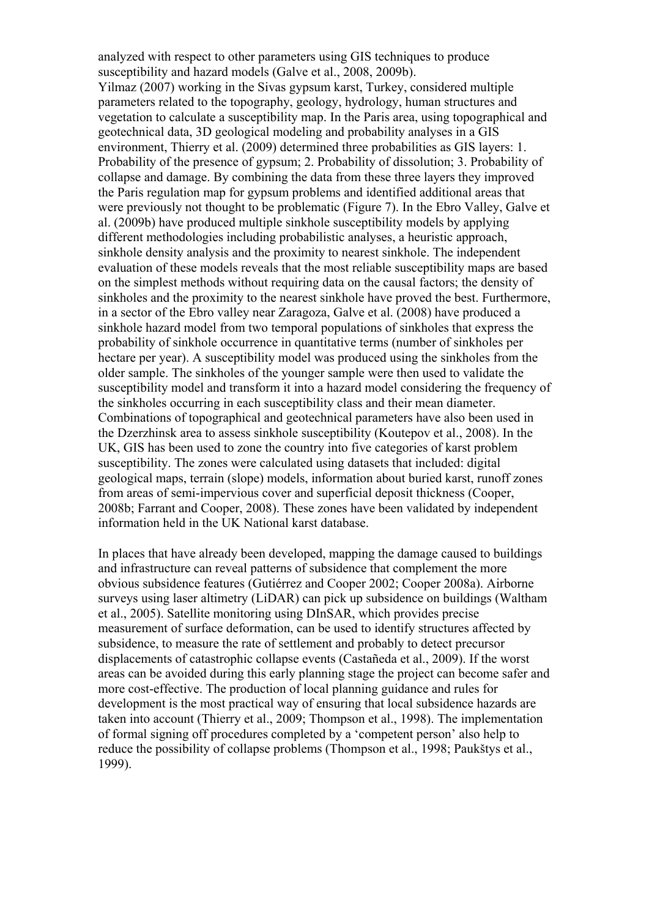analyzed with respect to other parameters using GIS techniques to produce susceptibility and hazard models (Galve et al., 2008, 2009b). Yilmaz (2007) working in the Sivas gypsum karst, Turkey, considered multiple parameters related to the topography, geology, hydrology, human structures and vegetation to calculate a susceptibility map. In the Paris area, using topographical and geotechnical data, 3D geological modeling and probability analyses in a GIS environment, Thierry et al. (2009) determined three probabilities as GIS layers: 1. Probability of the presence of gypsum; 2. Probability of dissolution; 3. Probability of collapse and damage. By combining the data from these three layers they improved the Paris regulation map for gypsum problems and identified additional areas that were previously not thought to be problematic (Figure 7). In the Ebro Valley, Galve et al. (2009b) have produced multiple sinkhole susceptibility models by applying different methodologies including probabilistic analyses, a heuristic approach, sinkhole density analysis and the proximity to nearest sinkhole. The independent evaluation of these models reveals that the most reliable susceptibility maps are based on the simplest methods without requiring data on the causal factors; the density of sinkholes and the proximity to the nearest sinkhole have proved the best. Furthermore, in a sector of the Ebro valley near Zaragoza, Galve et al. (2008) have produced a sinkhole hazard model from two temporal populations of sinkholes that express the probability of sinkhole occurrence in quantitative terms (number of sinkholes per hectare per year). A susceptibility model was produced using the sinkholes from the older sample. The sinkholes of the younger sample were then used to validate the susceptibility model and transform it into a hazard model considering the frequency of the sinkholes occurring in each susceptibility class and their mean diameter. Combinations of topographical and geotechnical parameters have also been used in the Dzerzhinsk area to assess sinkhole susceptibility (Koutepov et al., 2008). In the UK, GIS has been used to zone the country into five categories of karst problem susceptibility. The zones were calculated using datasets that included: digital geological maps, terrain (slope) models, information about buried karst, runoff zones from areas of semi-impervious cover and superficial deposit thickness (Cooper, 2008b; Farrant and Cooper, 2008). These zones have been validated by independent information held in the UK National karst database.

In places that have already been developed, mapping the damage caused to buildings and infrastructure can reveal patterns of subsidence that complement the more obvious subsidence features (Gutiérrez and Cooper 2002; Cooper 2008a). Airborne surveys using laser altimetry (LiDAR) can pick up subsidence on buildings (Waltham et al., 2005). Satellite monitoring using DInSAR, which provides precise measurement of surface deformation, can be used to identify structures affected by subsidence, to measure the rate of settlement and probably to detect precursor displacements of catastrophic collapse events (Castañeda et al., 2009). If the worst areas can be avoided during this early planning stage the project can become safer and more cost-effective. The production of local planning guidance and rules for development is the most practical way of ensuring that local subsidence hazards are taken into account (Thierry et al., 2009; Thompson et al., 1998). The implementation of formal signing off procedures completed by a 'competent person' also help to reduce the possibility of collapse problems (Thompson et al., 1998; Paukštys et al., 1999).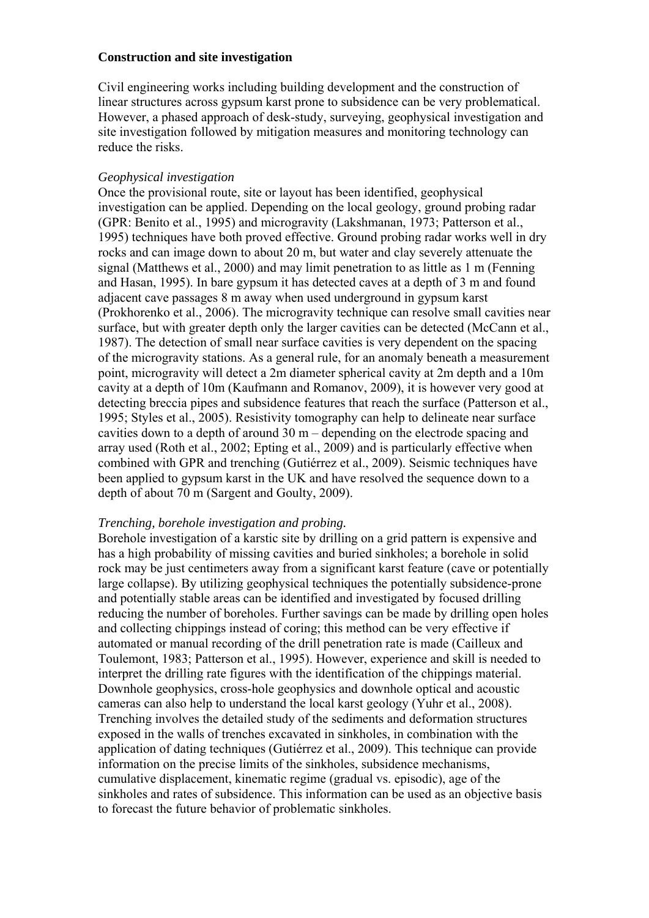#### **Construction and site investigation**

Civil engineering works including building development and the construction of linear structures across gypsum karst prone to subsidence can be very problematical. However, a phased approach of desk-study, surveying, geophysical investigation and site investigation followed by mitigation measures and monitoring technology can reduce the risks.

### *Geophysical investigation*

Once the provisional route, site or layout has been identified, geophysical investigation can be applied. Depending on the local geology, ground probing radar (GPR: Benito et al., 1995) and microgravity (Lakshmanan, 1973; Patterson et al., 1995) techniques have both proved effective. Ground probing radar works well in dry rocks and can image down to about 20 m, but water and clay severely attenuate the signal (Matthews et al., 2000) and may limit penetration to as little as 1 m (Fenning and Hasan, 1995). In bare gypsum it has detected caves at a depth of 3 m and found adjacent cave passages 8 m away when used underground in gypsum karst (Prokhorenko et al., 2006). The microgravity technique can resolve small cavities near surface, but with greater depth only the larger cavities can be detected (McCann et al., 1987). The detection of small near surface cavities is very dependent on the spacing of the microgravity stations. As a general rule, for an anomaly beneath a measurement point, microgravity will detect a 2m diameter spherical cavity at 2m depth and a 10m cavity at a depth of 10m (Kaufmann and Romanov, 2009), it is however very good at detecting breccia pipes and subsidence features that reach the surface (Patterson et al., 1995; Styles et al., 2005). Resistivity tomography can help to delineate near surface cavities down to a depth of around 30 m – depending on the electrode spacing and array used (Roth et al., 2002; Epting et al., 2009) and is particularly effective when combined with GPR and trenching (Gutiérrez et al., 2009). Seismic techniques have been applied to gypsum karst in the UK and have resolved the sequence down to a depth of about 70 m (Sargent and Goulty, 2009).

### *Trenching, borehole investigation and probing.*

Borehole investigation of a karstic site by drilling on a grid pattern is expensive and has a high probability of missing cavities and buried sinkholes; a borehole in solid rock may be just centimeters away from a significant karst feature (cave or potentially large collapse). By utilizing geophysical techniques the potentially subsidence-prone and potentially stable areas can be identified and investigated by focused drilling reducing the number of boreholes. Further savings can be made by drilling open holes and collecting chippings instead of coring; this method can be very effective if automated or manual recording of the drill penetration rate is made (Cailleux and Toulemont, 1983; Patterson et al., 1995). However, experience and skill is needed to interpret the drilling rate figures with the identification of the chippings material. Downhole geophysics, cross-hole geophysics and downhole optical and acoustic cameras can also help to understand the local karst geology (Yuhr et al., 2008). Trenching involves the detailed study of the sediments and deformation structures exposed in the walls of trenches excavated in sinkholes, in combination with the application of dating techniques (Gutiérrez et al., 2009). This technique can provide information on the precise limits of the sinkholes, subsidence mechanisms, cumulative displacement, kinematic regime (gradual vs. episodic), age of the sinkholes and rates of subsidence. This information can be used as an objective basis to forecast the future behavior of problematic sinkholes.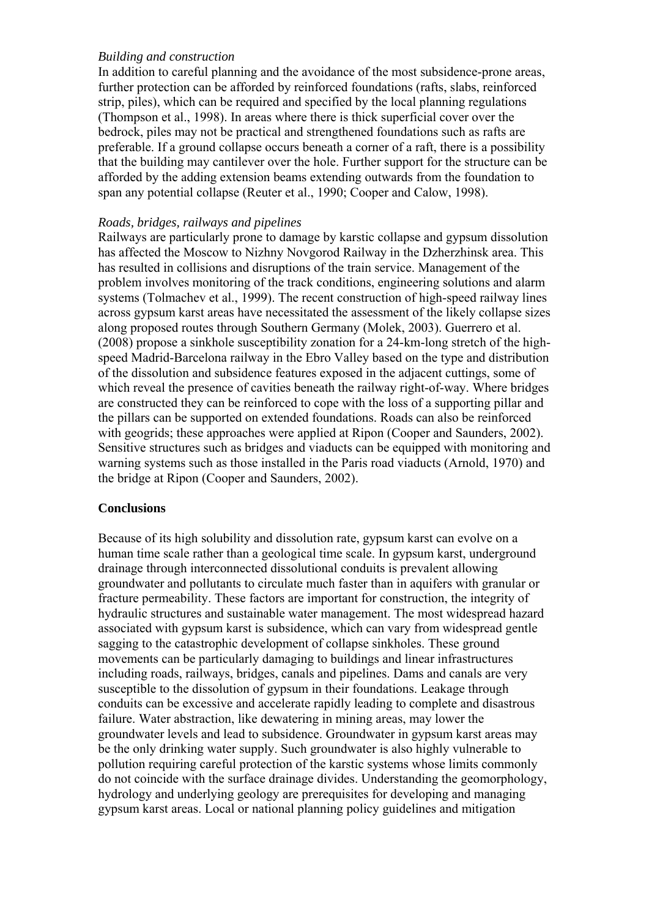### *Building and construction*

In addition to careful planning and the avoidance of the most subsidence-prone areas, further protection can be afforded by reinforced foundations (rafts, slabs, reinforced strip, piles), which can be required and specified by the local planning regulations (Thompson et al., 1998). In areas where there is thick superficial cover over the bedrock, piles may not be practical and strengthened foundations such as rafts are preferable. If a ground collapse occurs beneath a corner of a raft, there is a possibility that the building may cantilever over the hole. Further support for the structure can be afforded by the adding extension beams extending outwards from the foundation to span any potential collapse (Reuter et al., 1990; Cooper and Calow, 1998).

### *Roads, bridges, railways and pipelines*

Railways are particularly prone to damage by karstic collapse and gypsum dissolution has affected the Moscow to Nizhny Novgorod Railway in the Dzherzhinsk area. This has resulted in collisions and disruptions of the train service. Management of the problem involves monitoring of the track conditions, engineering solutions and alarm systems (Tolmachev et al., 1999). The recent construction of high-speed railway lines across gypsum karst areas have necessitated the assessment of the likely collapse sizes along proposed routes through Southern Germany (Molek, 2003). Guerrero et al. (2008) propose a sinkhole susceptibility zonation for a 24-km-long stretch of the highspeed Madrid-Barcelona railway in the Ebro Valley based on the type and distribution of the dissolution and subsidence features exposed in the adjacent cuttings, some of which reveal the presence of cavities beneath the railway right-of-way. Where bridges are constructed they can be reinforced to cope with the loss of a supporting pillar and the pillars can be supported on extended foundations. Roads can also be reinforced with geogrids; these approaches were applied at Ripon (Cooper and Saunders, 2002). Sensitive structures such as bridges and viaducts can be equipped with monitoring and warning systems such as those installed in the Paris road viaducts (Arnold, 1970) and the bridge at Ripon (Cooper and Saunders, 2002).

# **Conclusions**

Because of its high solubility and dissolution rate, gypsum karst can evolve on a human time scale rather than a geological time scale. In gypsum karst, underground drainage through interconnected dissolutional conduits is prevalent allowing groundwater and pollutants to circulate much faster than in aquifers with granular or fracture permeability. These factors are important for construction, the integrity of hydraulic structures and sustainable water management. The most widespread hazard associated with gypsum karst is subsidence, which can vary from widespread gentle sagging to the catastrophic development of collapse sinkholes. These ground movements can be particularly damaging to buildings and linear infrastructures including roads, railways, bridges, canals and pipelines. Dams and canals are very susceptible to the dissolution of gypsum in their foundations. Leakage through conduits can be excessive and accelerate rapidly leading to complete and disastrous failure. Water abstraction, like dewatering in mining areas, may lower the groundwater levels and lead to subsidence. Groundwater in gypsum karst areas may be the only drinking water supply. Such groundwater is also highly vulnerable to pollution requiring careful protection of the karstic systems whose limits commonly do not coincide with the surface drainage divides. Understanding the geomorphology, hydrology and underlying geology are prerequisites for developing and managing gypsum karst areas. Local or national planning policy guidelines and mitigation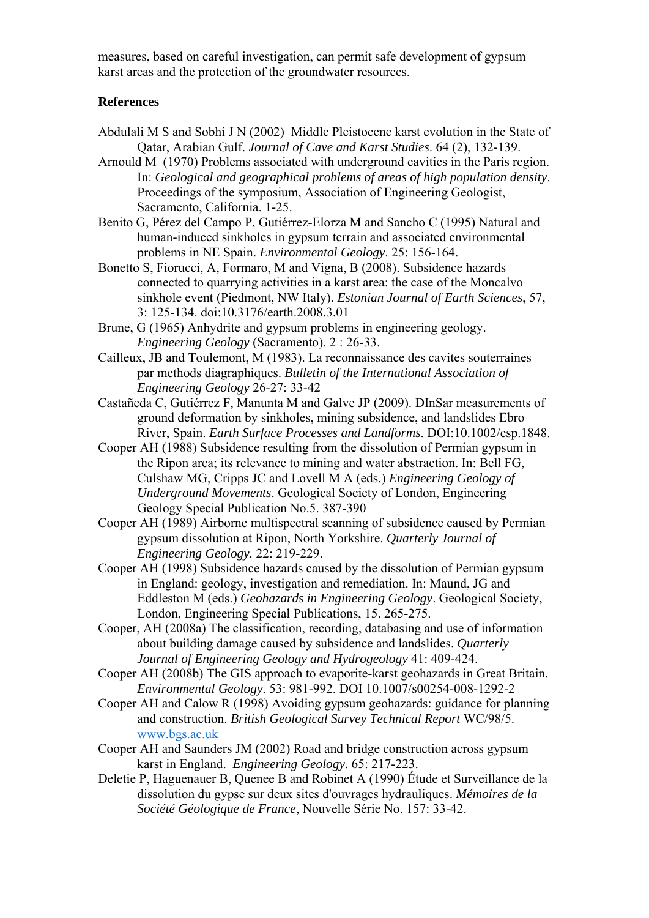measures, based on careful investigation, can permit safe development of gypsum karst areas and the protection of the groundwater resources.

### **References**

- Abdulali M S and Sobhi J N (2002) Middle Pleistocene karst evolution in the State of Qatar, Arabian Gulf. *Journal of Cave and Karst Studies*. 64 (2), 132-139.
- Arnould M (1970) Problems associated with underground cavities in the Paris region. In: *Geological and geographical problems of areas of high population density*. Proceedings of the symposium, Association of Engineering Geologist, Sacramento, California. 1-25.
- Benito G, Pérez del Campo P, Gutiérrez-Elorza M and Sancho C (1995) Natural and human-induced sinkholes in gypsum terrain and associated environmental problems in NE Spain. *Environmental Geology*. 25: 156-164.
- Bonetto S, Fiorucci, A, Formaro, M and Vigna, B (2008). Subsidence hazards connected to quarrying activities in a karst area: the case of the Moncalvo sinkhole event (Piedmont, NW Italy). *Estonian Journal of Earth Sciences*, 57, 3: 125-134. doi:10.3176/earth.2008.3.01
- Brune, G (1965) Anhydrite and gypsum problems in engineering geology. *Engineering Geology* (Sacramento). 2 : 26-33.
- Cailleux, JB and Toulemont, M (1983). La reconnaissance des cavites souterraines par methods diagraphiques. *Bulletin of the International Association of Engineering Geology* 26-27: 33-42
- Castañeda C, Gutiérrez F, Manunta M and Galve JP (2009). DInSar measurements of ground deformation by sinkholes, mining subsidence, and landslides Ebro River, Spain. *Earth Surface Processes and Landforms*. DOI:10.1002/esp.1848.
- Cooper AH (1988) Subsidence resulting from the dissolution of Permian gypsum in the Ripon area; its relevance to mining and water abstraction. In: Bell FG, Culshaw MG, Cripps JC and Lovell M A (eds.) *Engineering Geology of Underground Movements*. Geological Society of London, Engineering Geology Special Publication No.5. 387-390
- Cooper AH (1989) Airborne multispectral scanning of subsidence caused by Permian gypsum dissolution at Ripon, North Yorkshire. *Quarterly Journal of Engineering Geology.* 22: 219-229.
- Cooper AH (1998) Subsidence hazards caused by the dissolution of Permian gypsum in England: geology, investigation and remediation. In: Maund, JG and Eddleston M (eds.) *Geohazards in Engineering Geology*. Geological Society, London, Engineering Special Publications, 15. 265-275.
- Cooper, AH (2008a) The classification, recording, databasing and use of information about building damage caused by subsidence and landslides. *Quarterly Journal of Engineering Geology and Hydrogeology* 41: 409-424.
- Cooper AH (2008b) The GIS approach to evaporite-karst geohazards in Great Britain. *Environmental Geology*. 53: 981-992. DOI 10.1007/s00254-008-1292-2
- Cooper AH and Calow R (1998) Avoiding gypsum geohazards: guidance for planning and construction. *British Geological Survey Technical Report* WC/98/5. www.bgs.ac.uk
- Cooper AH and Saunders JM (2002) Road and bridge construction across gypsum karst in England. *Engineering Geology.* 65: 217-223.
- Deletie P, Haguenauer B, Quenee B and Robinet A (1990) Étude et Surveillance de la dissolution du gypse sur deux sites d'ouvrages hydrauliques. *Mémoires de la Société Géologique de France*, Nouvelle Série No. 157: 33-42.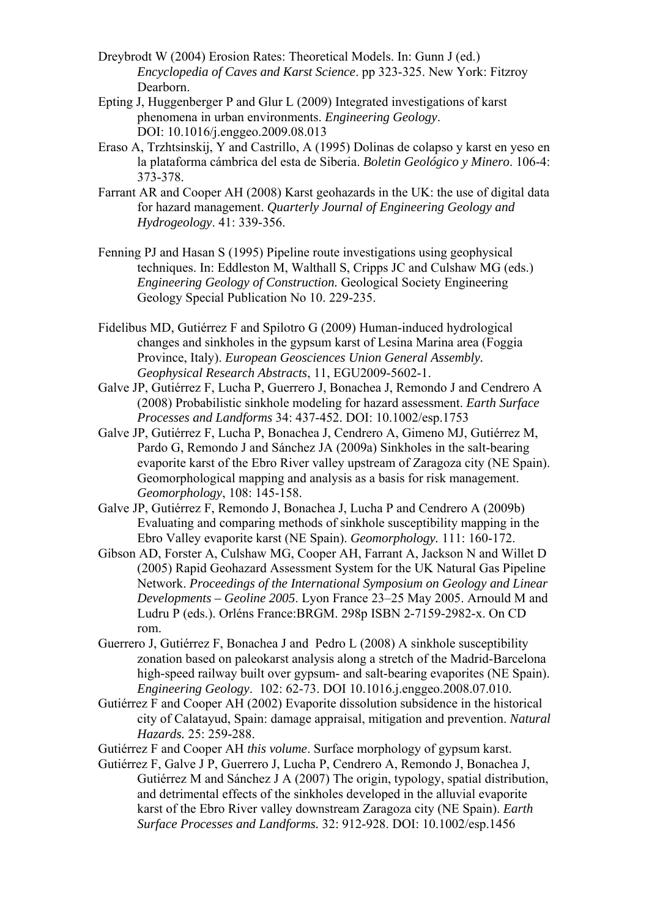- Dreybrodt W (2004) Erosion Rates: Theoretical Models. In: Gunn J (ed.) *Encyclopedia of Caves and Karst Science*. pp 323-325. New York: Fitzroy Dearborn.
- Epting J, Huggenberger P and Glur L (2009) Integrated investigations of karst phenomena in urban environments. *Engineering Geology*. DOI: 10.1016/j.enggeo.2009.08.013
- Eraso A, Trzhtsinskij, Y and Castrillo, A (1995) Dolinas de colapso y karst en yeso en la plataforma cámbrica del esta de Siberia. *Boletin Geológico y Minero*. 106-4: 373-378.
- Farrant AR and Cooper AH (2008) Karst geohazards in the UK: the use of digital data for hazard management. *Quarterly Journal of Engineering Geology and Hydrogeology*. 41: 339-356.
- Fenning PJ and Hasan S (1995) Pipeline route investigations using geophysical techniques. In: Eddleston M, Walthall S, Cripps JC and Culshaw MG (eds.) *Engineering Geology of Construction.* Geological Society Engineering Geology Special Publication No 10. 229-235.
- Fidelibus MD, Gutiérrez F and Spilotro G (2009) Human-induced hydrological changes and sinkholes in the gypsum karst of Lesina Marina area (Foggia Province, Italy). *European Geosciences Union General Assembly. Geophysical Research Abstracts*, 11, EGU2009-5602-1.
- Galve JP, Gutiérrez F, Lucha P, Guerrero J, Bonachea J, Remondo J and Cendrero A (2008) Probabilistic sinkhole modeling for hazard assessment. *Earth Surface Processes and Landforms* 34: 437-452. DOI: 10.1002/esp.1753
- Galve JP, Gutiérrez F, Lucha P, Bonachea J, Cendrero A, Gimeno MJ, Gutiérrez M, Pardo G, Remondo J and Sánchez JA (2009a) Sinkholes in the salt-bearing evaporite karst of the Ebro River valley upstream of Zaragoza city (NE Spain). Geomorphological mapping and analysis as a basis for risk management. *Geomorphology*, 108: 145-158.
- Galve JP, Gutiérrez F, Remondo J, Bonachea J, Lucha P and Cendrero A (2009b) Evaluating and comparing methods of sinkhole susceptibility mapping in the Ebro Valley evaporite karst (NE Spain). *Geomorphology.* 111: 160-172.
- Gibson AD, Forster A, Culshaw MG, Cooper AH, Farrant A, Jackson N and Willet D (2005) Rapid Geohazard Assessment System for the UK Natural Gas Pipeline Network. *Proceedings of the International Symposium on Geology and Linear Developments – Geoline 2005*. Lyon France 23–25 May 2005. Arnould M and Ludru P (eds.). Orléns France:BRGM. 298p ISBN 2-7159-2982-x. On CD rom.
- Guerrero J, Gutiérrez F, Bonachea J and Pedro L (2008) A sinkhole susceptibility zonation based on paleokarst analysis along a stretch of the Madrid-Barcelona high-speed railway built over gypsum- and salt-bearing evaporites (NE Spain). *Engineering Geology*. 102: 62-73. DOI 10.1016.j.enggeo.2008.07.010.
- Gutiérrez F and Cooper AH (2002) Evaporite dissolution subsidence in the historical city of Calatayud, Spain: damage appraisal, mitigation and prevention. *Natural Hazards.* 25: 259-288.
- Gutiérrez F and Cooper AH *this volume*. Surface morphology of gypsum karst.
- Gutiérrez F, Galve J P, Guerrero J, Lucha P, Cendrero A, Remondo J, Bonachea J, Gutiérrez M and Sánchez J A (2007) The origin, typology, spatial distribution, and detrimental effects of the sinkholes developed in the alluvial evaporite karst of the Ebro River valley downstream Zaragoza city (NE Spain). *Earth Surface Processes and Landforms.* 32: 912-928. DOI: 10.1002/esp.1456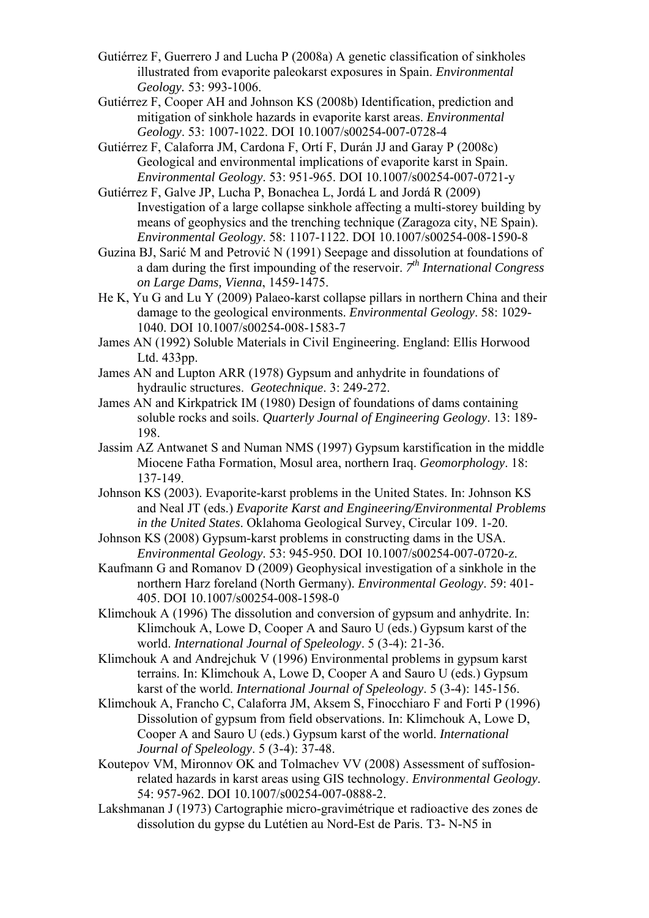- Gutiérrez F, Guerrero J and Lucha P (2008a) A genetic classification of sinkholes illustrated from evaporite paleokarst exposures in Spain. *Environmental Geology.* 53: 993-1006.
- Gutiérrez F, Cooper AH and Johnson KS (2008b) Identification, prediction and mitigation of sinkhole hazards in evaporite karst areas. *Environmental Geology*. 53: 1007-1022. DOI 10.1007/s00254-007-0728-4

Gutiérrez F, Calaforra JM, Cardona F, Ortí F, Durán JJ and Garay P (2008c) Geological and environmental implications of evaporite karst in Spain. *Environmental Geology*. 53: 951-965. DOI 10.1007/s00254-007-0721-y

- Gutiérrez F, Galve JP, Lucha P, Bonachea L, Jordá L and Jordá R (2009) Investigation of a large collapse sinkhole affecting a multi-storey building by means of geophysics and the trenching technique (Zaragoza city, NE Spain). *Environmental Geology*. 58: 1107-1122. DOI 10.1007/s00254-008-1590-8
- Guzina BJ, Sarić M and Petrović N (1991) Seepage and dissolution at foundations of a dam during the first impounding of the reservoir. *7th International Congress on Large Dams, Vienna*, 1459-1475.
- He K, Yu G and Lu Y (2009) Palaeo-karst collapse pillars in northern China and their damage to the geological environments. *Environmental Geology*. 58: 1029- 1040. DOI 10.1007/s00254-008-1583-7
- James AN (1992) Soluble Materials in Civil Engineering. England: Ellis Horwood Ltd. 433pp.
- James AN and Lupton ARR (1978) Gypsum and anhydrite in foundations of hydraulic structures. *Geotechnique*. 3: 249-272.
- James AN and Kirkpatrick IM (1980) Design of foundations of dams containing soluble rocks and soils. *Quarterly Journal of Engineering Geology*. 13: 189- 198.
- Jassim AZ Antwanet S and Numan NMS (1997) Gypsum karstification in the middle Miocene Fatha Formation, Mosul area, northern Iraq. *Geomorphology*. 18: 137-149.
- Johnson KS (2003). Evaporite-karst problems in the United States. In: Johnson KS and Neal JT (eds.) *Evaporite Karst and Engineering/Environmental Problems in the United States*. Oklahoma Geological Survey, Circular 109. 1-20.
- Johnson KS (2008) Gypsum-karst problems in constructing dams in the USA. *Environmental Geology*. 53: 945-950. DOI 10.1007/s00254-007-0720-z.
- Kaufmann G and Romanov D (2009) Geophysical investigation of a sinkhole in the northern Harz foreland (North Germany). *Environmental Geology*. 59: 401- 405. DOI 10.1007/s00254-008-1598-0
- Klimchouk A (1996) The dissolution and conversion of gypsum and anhydrite. In: Klimchouk A, Lowe D, Cooper A and Sauro U (eds.) Gypsum karst of the world. *International Journal of Speleology*. 5 (3-4): 21-36.
- Klimchouk A and Andrejchuk V (1996) Environmental problems in gypsum karst terrains. In: Klimchouk A, Lowe D, Cooper A and Sauro U (eds.) Gypsum karst of the world. *International Journal of Speleology*. 5 (3-4): 145-156.
- Klimchouk A, Francho C, Calaforra JM, Aksem S, Finocchiaro F and Forti P (1996) Dissolution of gypsum from field observations. In: Klimchouk A, Lowe D, Cooper A and Sauro U (eds.) Gypsum karst of the world. *International Journal of Speleology*. 5 (3-4): 37-48.
- Koutepov VM, Mironnov OK and Tolmachev VV (2008) Assessment of suffosionrelated hazards in karst areas using GIS technology. *Environmental Geology*. 54: 957-962. DOI 10.1007/s00254-007-0888-2.
- Lakshmanan J (1973) Cartographie micro-gravimétrique et radioactive des zones de dissolution du gypse du Lutétien au Nord-Est de Paris. T3- N-N5 in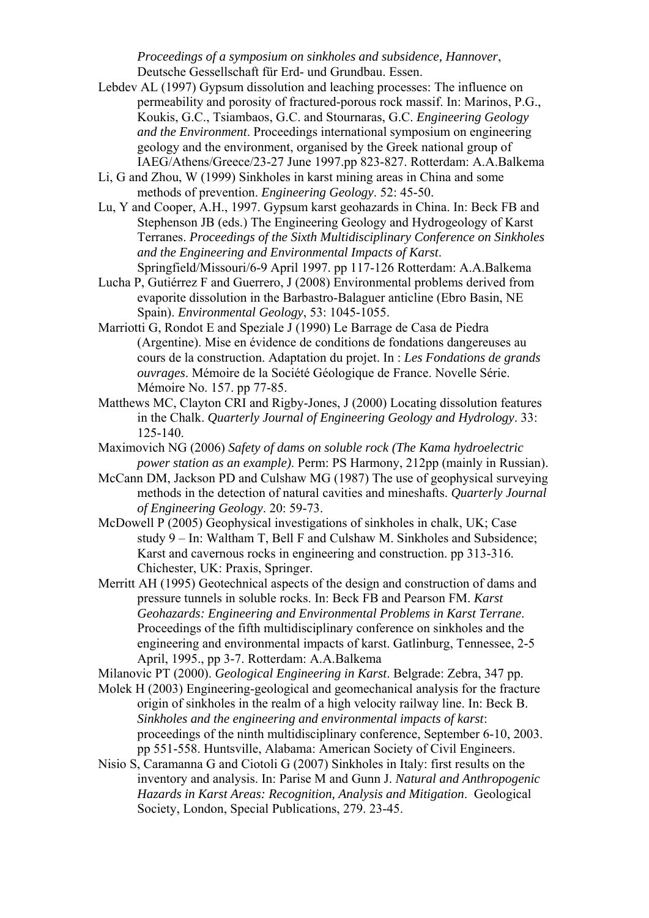*Proceedings of a symposium on sinkholes and subsidence, Hannover*, Deutsche Gessellschaft für Erd- und Grundbau. Essen.

- Lebdev AL (1997) Gypsum dissolution and leaching processes: The influence on permeability and porosity of fractured-porous rock massif. In: Marinos, P.G., Koukis, G.C., Tsiambaos, G.C. and Stournaras, G.C. *Engineering Geology and the Environment*. Proceedings international symposium on engineering geology and the environment, organised by the Greek national group of IAEG/Athens/Greece/23-27 June 1997.pp 823-827. Rotterdam: A.A.Balkema
- Li, G and Zhou, W (1999) Sinkholes in karst mining areas in China and some methods of prevention. *Engineering Geology*. 52: 45-50.
- Lu, Y and Cooper, A.H., 1997. Gypsum karst geohazards in China. In: Beck FB and Stephenson JB (eds.) The Engineering Geology and Hydrogeology of Karst Terranes. *Proceedings of the Sixth Multidisciplinary Conference on Sinkholes and the Engineering and Environmental Impacts of Karst*. Springfield/Missouri/6-9 April 1997. pp 117-126 Rotterdam: A.A.Balkema
- Lucha P, Gutiérrez F and Guerrero, J (2008) Environmental problems derived from evaporite dissolution in the Barbastro-Balaguer anticline (Ebro Basin, NE Spain). *Environmental Geology*, 53: 1045-1055.
- Marriotti G, Rondot E and Speziale J (1990) Le Barrage de Casa de Piedra (Argentine). Mise en évidence de conditions de fondations dangereuses au cours de la construction. Adaptation du projet. In : *Les Fondations de grands ouvrages*. Mémoire de la Société Géologique de France. Novelle Série. Mémoire No. 157. pp 77-85.
- Matthews MC, Clayton CRI and Rigby-Jones, J (2000) Locating dissolution features in the Chalk. *Quarterly Journal of Engineering Geology and Hydrology*. 33: 125-140.
- Maximovich NG (2006) *Safety of dams on soluble rock (The Kama hydroelectric power station as an example)*. Perm: PS Harmony, 212pp (mainly in Russian).
- McCann DM, Jackson PD and Culshaw MG (1987) The use of geophysical surveying methods in the detection of natural cavities and mineshafts. *Quarterly Journal of Engineering Geology*. 20: 59-73.
- McDowell P (2005) Geophysical investigations of sinkholes in chalk, UK; Case study 9 – In: Waltham T, Bell F and Culshaw M. Sinkholes and Subsidence; Karst and cavernous rocks in engineering and construction. pp 313-316. Chichester, UK: Praxis, Springer.
- Merritt AH (1995) Geotechnical aspects of the design and construction of dams and pressure tunnels in soluble rocks. In: Beck FB and Pearson FM. *Karst Geohazards: Engineering and Environmental Problems in Karst Terrane*. Proceedings of the fifth multidisciplinary conference on sinkholes and the engineering and environmental impacts of karst. Gatlinburg, Tennessee, 2-5 April, 1995., pp 3-7. Rotterdam: A.A.Balkema
- Milanovic PT (2000). *Geological Engineering in Karst*. Belgrade: Zebra, 347 pp.
- Molek H (2003) Engineering-geological and geomechanical analysis for the fracture origin of sinkholes in the realm of a high velocity railway line. In: Beck B. *Sinkholes and the engineering and environmental impacts of karst*: proceedings of the ninth multidisciplinary conference, September 6-10, 2003. pp 551-558. Huntsville, Alabama: American Society of Civil Engineers.
- Nisio S, Caramanna G and Ciotoli G (2007) Sinkholes in Italy: first results on the inventory and analysis. In: Parise M and Gunn J. *Natural and Anthropogenic Hazards in Karst Areas: Recognition, Analysis and Mitigation*. Geological Society, London, Special Publications, 279. 23-45.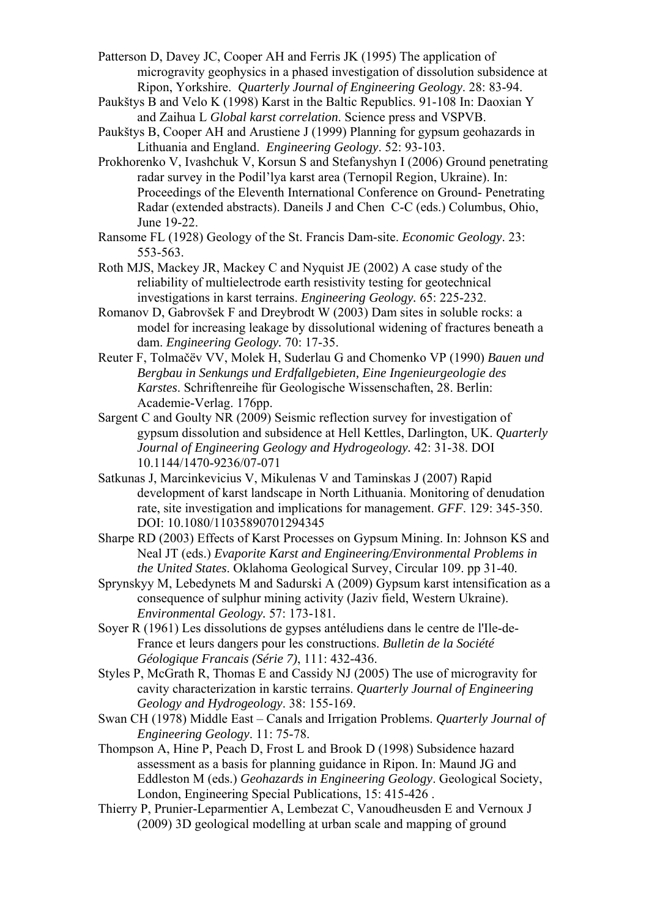Patterson D, Davey JC, Cooper AH and Ferris JK (1995) The application of microgravity geophysics in a phased investigation of dissolution subsidence at Ripon, Yorkshire. *Quarterly Journal of Engineering Geology*. 28: 83-94.

Paukštys B and Velo K (1998) Karst in the Baltic Republics. 91-108 In: Daoxian Y and Zaihua L *Global karst correlation*. Science press and VSPVB.

Paukštys B, Cooper AH and Arustiene J (1999) Planning for gypsum geohazards in Lithuania and England. *Engineering Geology*. 52: 93-103.

- Prokhorenko V, Ivashchuk V, Korsun S and Stefanyshyn I (2006) Ground penetrating radar survey in the Podil'lya karst area (Ternopil Region, Ukraine). In: Proceedings of the Eleventh International Conference on Ground- Penetrating Radar (extended abstracts). Daneils J and Chen C-C (eds.) Columbus, Ohio, June 19-22.
- Ransome FL (1928) Geology of the St. Francis Dam-site. *Economic Geology*. 23: 553-563.
- Roth MJS, Mackey JR, Mackey C and Nyquist JE (2002) A case study of the reliability of multielectrode earth resistivity testing for geotechnical investigations in karst terrains. *Engineering Geology.* 65: 225-232.
- Romanov D, Gabrovšek F and Dreybrodt W (2003) Dam sites in soluble rocks: a model for increasing leakage by dissolutional widening of fractures beneath a dam. *Engineering Geology.* 70: 17-35.
- Reuter F, Tolmačëv VV, Molek H, Suderlau G and Chomenko VP (1990) *Bauen und Bergbau in Senkungs und Erdfallgebieten, Eine Ingenieurgeologie des Karstes*. Schriftenreihe für Geologische Wissenschaften, 28. Berlin: Academie-Verlag. 176pp.
- Sargent C and Goulty NR (2009) Seismic reflection survey for investigation of gypsum dissolution and subsidence at Hell Kettles, Darlington, UK. *Quarterly Journal of Engineering Geology and Hydrogeology.* 42: 31-38. DOI 10.1144/1470-9236/07-071
- Satkunas J, Marcinkevicius V, Mikulenas V and Taminskas J (2007) Rapid development of karst landscape in North Lithuania. Monitoring of denudation rate, site investigation and implications for management. *GFF*. 129: 345-350. DOI: 10.1080/11035890701294345
- Sharpe RD (2003) Effects of Karst Processes on Gypsum Mining. In: Johnson KS and Neal JT (eds.) *Evaporite Karst and Engineering/Environmental Problems in the United States*. Oklahoma Geological Survey, Circular 109. pp 31-40.
- Sprynskyy M, Lebedynets M and Sadurski A (2009) Gypsum karst intensification as a consequence of sulphur mining activity (Jaziv field, Western Ukraine). *Environmental Geology.* 57: 173-181.
- Soyer R (1961) Les dissolutions de gypses antéludiens dans le centre de l'Ile-de-France et leurs dangers pour les constructions. *Bulletin de la Société Géologique Francais (Série 7)*, 111: 432-436.
- Styles P, McGrath R, Thomas E and Cassidy NJ (2005) The use of microgravity for cavity characterization in karstic terrains. *Quarterly Journal of Engineering Geology and Hydrogeology*. 38: 155-169.
- Swan CH (1978) Middle East Canals and Irrigation Problems. *Quarterly Journal of Engineering Geology*. 11: 75-78.
- Thompson A, Hine P, Peach D, Frost L and Brook D (1998) Subsidence hazard assessment as a basis for planning guidance in Ripon. In: Maund JG and Eddleston M (eds.) *Geohazards in Engineering Geology*. Geological Society, London, Engineering Special Publications, 15: 415-426 .
- Thierry P, Prunier-Leparmentier A, Lembezat C, Vanoudheusden E and Vernoux J (2009) 3D geological modelling at urban scale and mapping of ground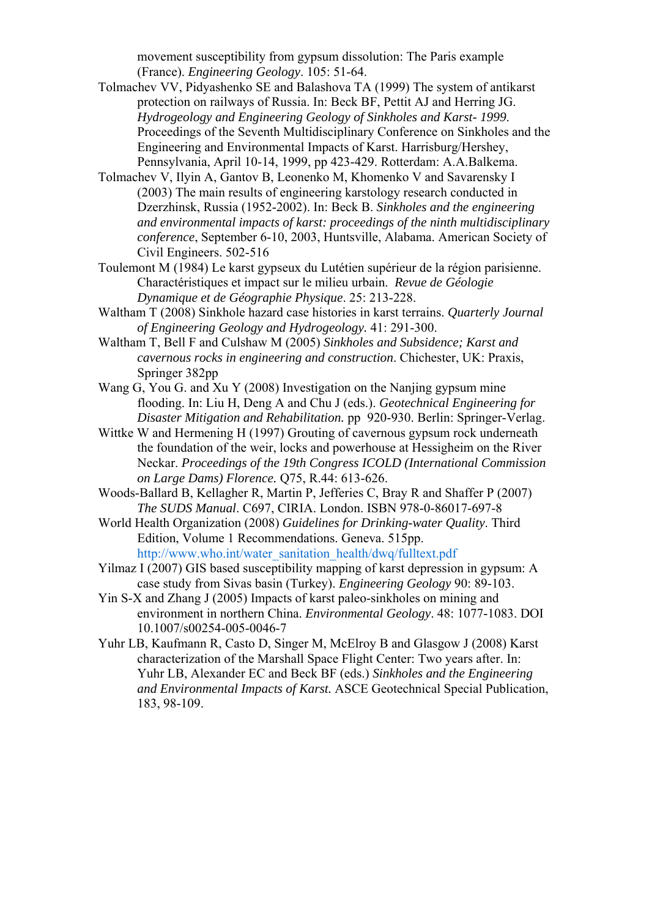movement susceptibility from gypsum dissolution: The Paris example (France). *Engineering Geology*. 105: 51-64.

- Tolmachev VV, Pidyashenko SE and Balashova TA (1999) The system of antikarst protection on railways of Russia. In: Beck BF, Pettit AJ and Herring JG. *Hydrogeology and Engineering Geology of Sinkholes and Karst- 1999*. Proceedings of the Seventh Multidisciplinary Conference on Sinkholes and the Engineering and Environmental Impacts of Karst. Harrisburg/Hershey, Pennsylvania, April 10-14, 1999, pp 423-429. Rotterdam: A.A.Balkema.
- Tolmachev V, Ilyin A, Gantov B, Leonenko M, Khomenko V and Savarensky I (2003) The main results of engineering karstology research conducted in Dzerzhinsk, Russia (1952-2002). In: Beck B. *Sinkholes and the engineering and environmental impacts of karst: proceedings of the ninth multidisciplinary conference*, September 6-10, 2003, Huntsville, Alabama. American Society of Civil Engineers. 502-516
- Toulemont M (1984) Le karst gypseux du Lutétien supérieur de la région parisienne. Charactéristiques et impact sur le milieu urbain. *Revue de Géologie Dynamique et de Géographie Physique*. 25: 213-228.
- Waltham T (2008) Sinkhole hazard case histories in karst terrains. *Quarterly Journal of Engineering Geology and Hydrogeology.* 41: 291-300.
- Waltham T, Bell F and Culshaw M (2005) *Sinkholes and Subsidence; Karst and cavernous rocks in engineering and construction*. Chichester, UK: Praxis, Springer 382pp
- Wang G, You G. and Xu Y (2008) Investigation on the Nanjing gypsum mine flooding. In: Liu H, Deng A and Chu J (eds.). *Geotechnical Engineering for Disaster Mitigation and Rehabilitation.* pp 920-930. Berlin: Springer-Verlag.
- Wittke W and Hermening H (1997) Grouting of cavernous gypsum rock underneath the foundation of the weir, locks and powerhouse at Hessigheim on the River Neckar. *Proceedings of the 19th Congress ICOLD (International Commission on Large Dams) Florence.* Q75, R.44: 613-626.
- Woods-Ballard B, Kellagher R, Martin P, Jefferies C, Bray R and Shaffer P (2007) *The SUDS Manual*. C697, CIRIA. London. ISBN 978-0-86017-697-8
- World Health Organization (2008) *Guidelines for Drinking-water Quality*. Third Edition, Volume 1 Recommendations. Geneva. 515pp. http://www.who.int/water\_sanitation\_health/dwq/fulltext.pdf

Yilmaz I (2007) GIS based susceptibility mapping of karst depression in gypsum: A case study from Sivas basin (Turkey). *Engineering Geology* 90: 89-103.

- Yin S-X and Zhang J (2005) Impacts of karst paleo-sinkholes on mining and environment in northern China. *Environmental Geology*. 48: 1077-1083. DOI 10.1007/s00254-005-0046-7
- Yuhr LB, Kaufmann R, Casto D, Singer M, McElroy B and Glasgow J (2008) Karst characterization of the Marshall Space Flight Center: Two years after. In: Yuhr LB, Alexander EC and Beck BF (eds.) *Sinkholes and the Engineering and Environmental Impacts of Karst.* ASCE Geotechnical Special Publication, 183, 98-109.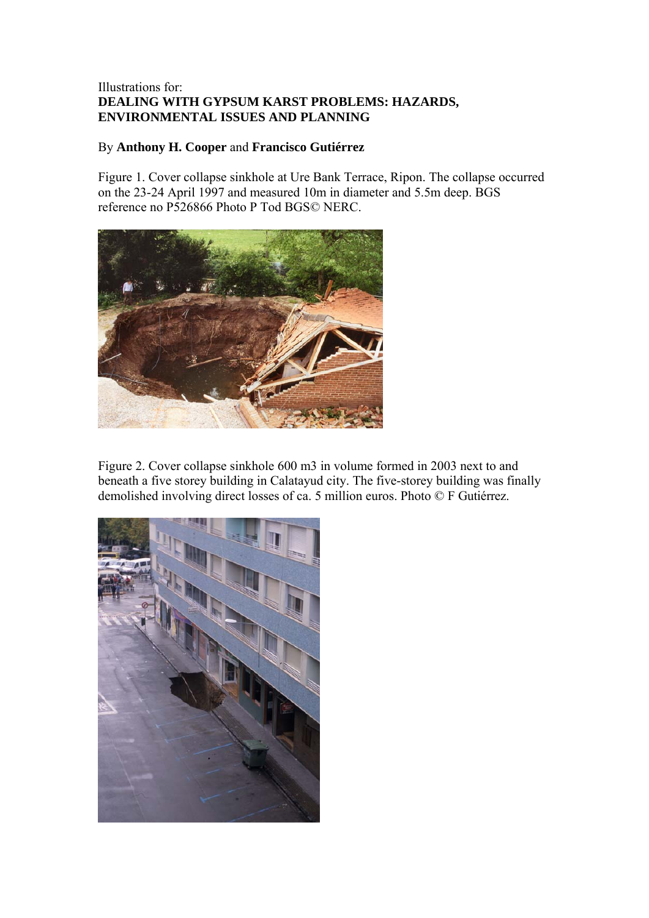# Illustrations for: **DEALING WITH GYPSUM KARST PROBLEMS: HAZARDS, ENVIRONMENTAL ISSUES AND PLANNING**

### By **Anthony H. Cooper** and **Francisco Gutiérrez**

Figure 1. Cover collapse sinkhole at Ure Bank Terrace, Ripon. The collapse occurred on the 23-24 April 1997 and measured 10m in diameter and 5.5m deep. BGS reference no P526866 Photo P Tod BGS© NERC.



Figure 2. Cover collapse sinkhole 600 m3 in volume formed in 2003 next to and beneath a five storey building in Calatayud city. The five-storey building was finally demolished involving direct losses of ca. 5 million euros. Photo © F Gutiérrez.

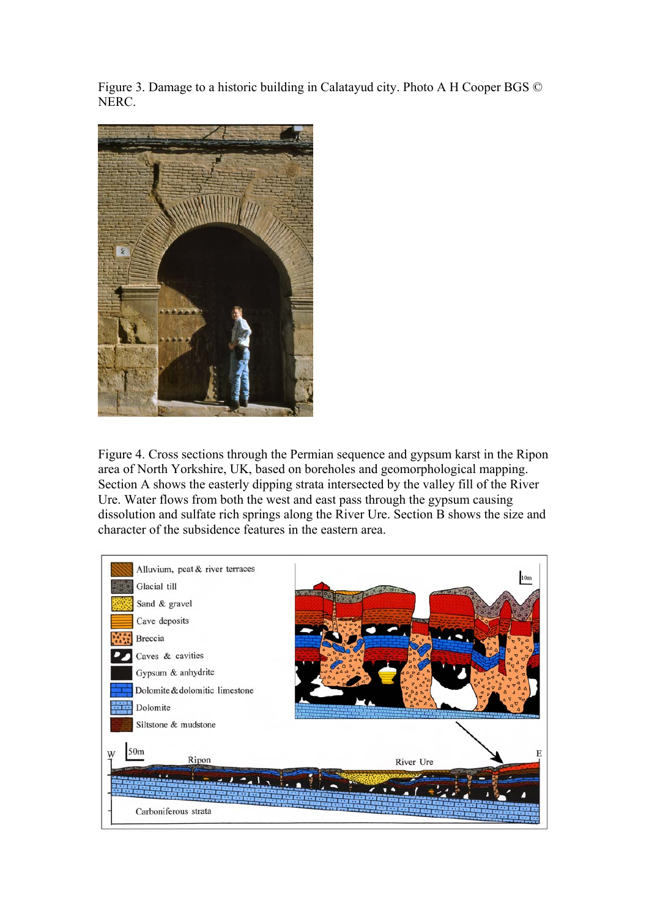Figure 3. Damage to a historic building in Calatayud city. Photo A H Cooper BGS © NERC.



Figure 4. Cross sections through the Permian sequence and gypsum karst in the Ripon area of North Yorkshire, UK, based on boreholes and geomorphological mapping. Section A shows the easterly dipping strata intersected by the valley fill of the River Ure. Water flows from both the west and east pass through the gypsum causing dissolution and sulfate rich springs along the River Ure. Section B shows the size and character of the subsidence features in the eastern area.

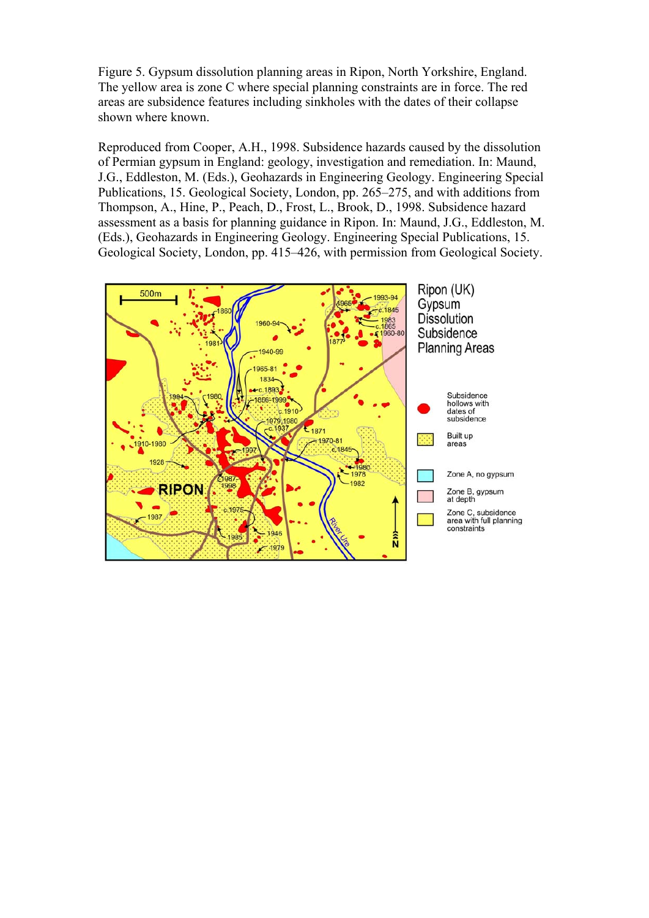Figure 5. Gypsum dissolution planning areas in Ripon, North Yorkshire, England. The yellow area is zone C where special planning constraints are in force. The red areas are subsidence features including sinkholes with the dates of their collapse shown where known.

Reproduced from Cooper, A.H., 1998. Subsidence hazards caused by the dissolution of Permian gypsum in England: geology, investigation and remediation. In: Maund, J.G., Eddleston, M. (Eds.), Geohazards in Engineering Geology. Engineering Special Publications, 15. Geological Society, London, pp. 265–275, and with additions from Thompson, A., Hine, P., Peach, D., Frost, L., Brook, D., 1998. Subsidence hazard assessment as a basis for planning guidance in Ripon. In: Maund, J.G., Eddleston, M. (Eds.), Geohazards in Engineering Geology. Engineering Special Publications, 15. Geological Society, London, pp. 415–426, with permission from Geological Society.

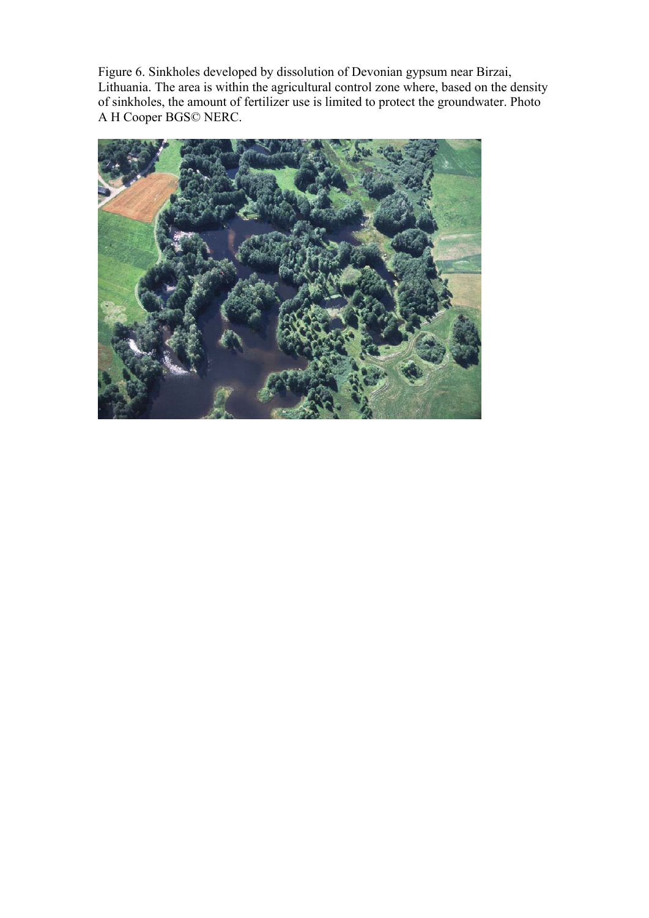Figure 6. Sinkholes developed by dissolution of Devonian gypsum near Birzai, Lithuania. The area is within the agricultural control zone where, based on the density of sinkholes, the amount of fertilizer use is limited to protect the groundwater. Photo A H Cooper BGS© NERC.